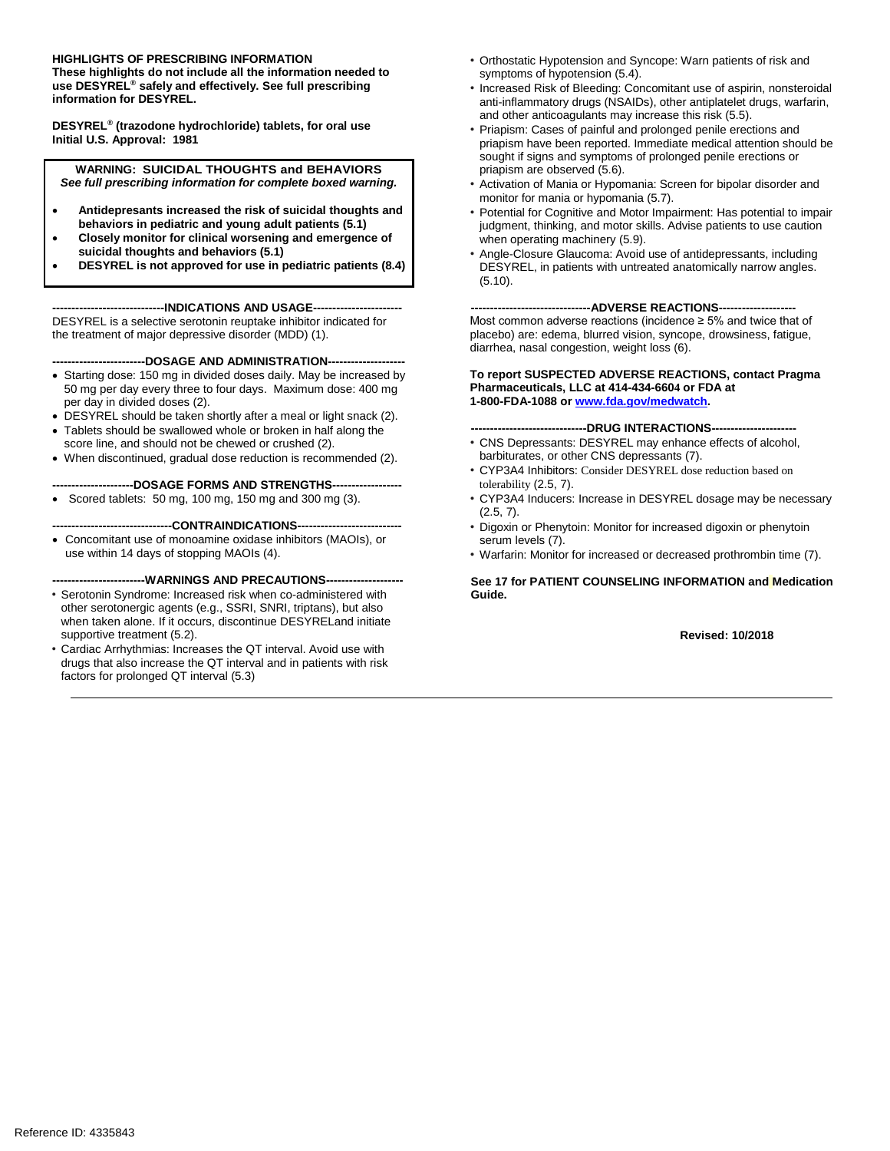#### **HIGHLIGHTS OF PRESCRIBING INFORMATION**

**These highlights do not include all the information needed to use DESYREL® safely and effectively. See full prescribing information for DESYREL.** 

**DESYREL® (trazodone hydrochloride) tablets, for oral use Initial U.S. Approval: 1981**

**WARNING: SUICIDAL THOUGHTS and BEHAVIORS** *See full prescribing information for complete boxed warning.*

- **Antidepresants increased the risk of suicidal thoughts and behaviors in pediatric and young adult patients (5.1)**
- **Closely monitor for clinical worsening and emergence of suicidal thoughts and behaviors (5.1)**
- **DESYREL is not approved for use in pediatric patients (8.4)**

---INDICATIONS AND USAGE---DESYREL is a selective serotonin reuptake inhibitor indicated for the treatment of major depressive disorder (MDD) (1).

#### **------------------------DOSAGE AND ADMINISTRATION--------------------**

- Starting dose: 150 mg in divided doses daily. May be increased by 50 mg per day every three to four days. Maximum dose: 400 mg per day in divided doses (2).
- DESYREL should be taken shortly after a meal or light snack (2).
- Tablets should be swallowed whole or broken in half along the score line, and should not be chewed or crushed (2).
- When discontinued, gradual dose reduction is recommended (2).

**---------------------DOSAGE FORMS AND STRENGTHS------------------**

- Scored tablets: 50 mg, 100 mg, 150 mg and 300 mg (3).
- **-------------------------------CONTRAINDICATIONS---------------------------**
- Concomitant use of monoamine oxidase inhibitors (MAOIs), or use within 14 days of stopping MAOIs (4).

#### ----WARNINGS AND PRECAUTIONS--

- Serotonin Syndrome: Increased risk when co-administered with other serotonergic agents (e.g., SSRI, SNRI, triptans), but also when taken alone. If it occurs, discontinue DESYRELand initiate supportive treatment (5.2).
- Cardiac Arrhythmias: Increases the QT interval. Avoid use with drugs that also increase the QT interval and in patients with risk factors for prolonged QT interval (5.3)
- Orthostatic Hypotension and Syncope: Warn patients of risk and symptoms of hypotension (5.4).
- Increased Risk of Bleeding: Concomitant use of aspirin, nonsteroidal anti-inflammatory drugs (NSAIDs), other antiplatelet drugs, warfarin, and other anticoagulants may increase this risk (5.5).
- Priapism: Cases of painful and prolonged penile erections and priapism have been reported. Immediate medical attention should be sought if signs and symptoms of prolonged penile erections or priapism are observed (5.6).
- Activation of Mania or Hypomania: Screen for bipolar disorder and monitor for mania or hypomania (5.7).
- Potential for Cognitive and Motor Impairment: Has potential to impair judgment, thinking, and motor skills. Advise patients to use caution when operating machinery (5.9).
- Angle-Closure Glaucoma: Avoid use of antidepressants, including DESYREL, in patients with untreated anatomically narrow angles. (5.10).

---ADVERSE REACTIONS--

Most common adverse reactions (incidence ≥ 5% and twice that of placebo) are: edema, blurred vision, syncope, drowsiness, fatigue, diarrhea, nasal congestion, weight loss (6).

#### **To report SUSPECTED ADVERSE REACTIONS, contact Pragma Pharmaceuticals, LLC at 414-434-6604 or FDA at 1-800-FDA-1088 or [www.fda.gov/medwatch.](http://www.fda.gov/medwatch)**

#### ----DRUG INTERACTIONS---

- CNS Depressants: DESYREL may enhance effects of alcohol, barbiturates, or other CNS depressants (7).
- CYP3A4 Inhibitors: Consider DESYREL dose reduction based on tolerability (2.5, 7).
- CYP3A4 Inducers: Increase in DESYREL dosage may be necessary  $(2.5, 7)$ .
- Digoxin or Phenytoin: Monitor for increased digoxin or phenytoin serum levels (7).
- Warfarin: Monitor for increased or decreased prothrombin time (7).

**See 17 for PATIENT COUNSELING INFORMATION and Medication Guide.** 

**Revised: 10/2018**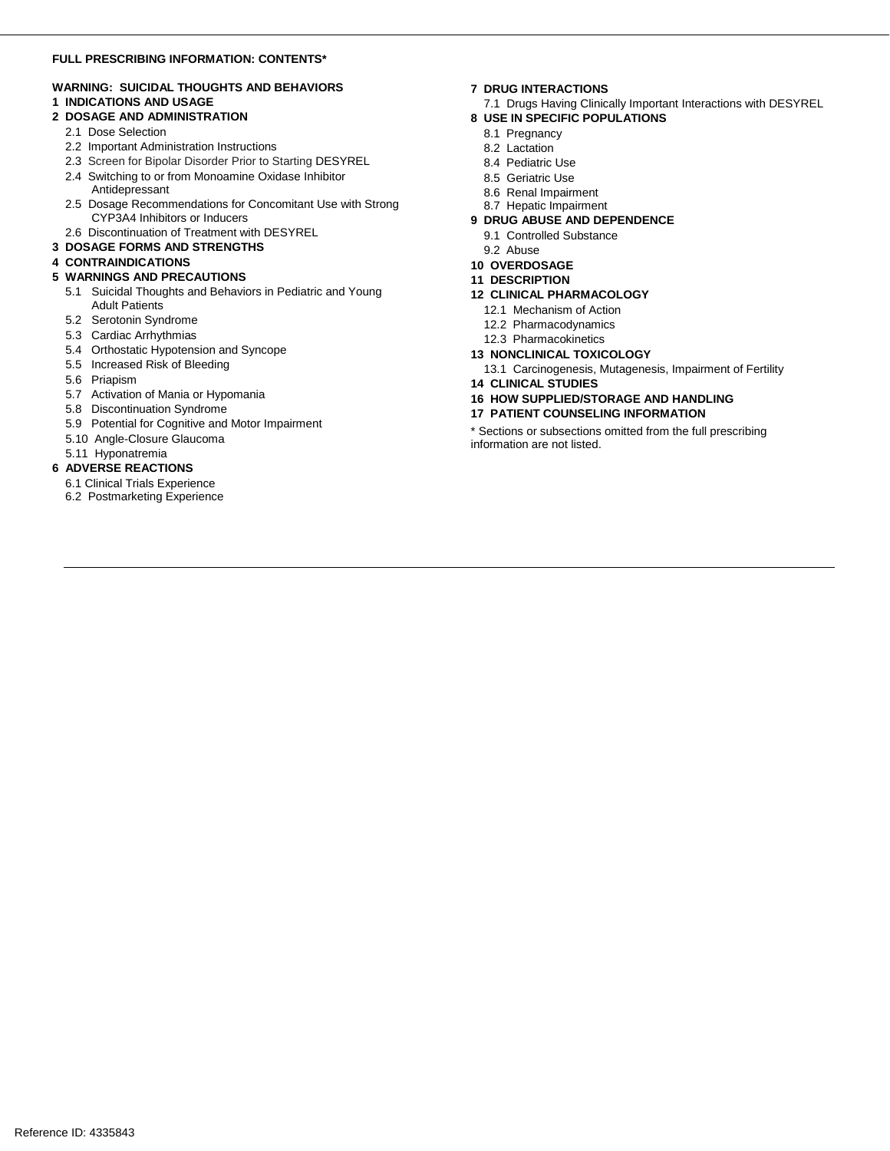#### **FULL PRESCRIBING INFORMATION: CONTENTS\***

### **WARNING: SUICIDAL THOUGHTS AND BEHAVIORS**

### **1 INDICATIONS AND USAGE**

#### **2 DOSAGE AND ADMINISTRATION**

- 2.1 Dose Selection
- 2.2 Important Administration Instructions
- 2.3 Screen for Bipolar Disorder Prior to Starting DESYREL
- 2.4 Switching to or from Monoamine Oxidase Inhibitor
- Antidepressant
- 2.5 Dosage Recommendations for Concomitant Use with Strong CYP3A4 Inhibitors or Inducers
- 2.6 Discontinuation of Treatment with DESYREL

### **3 DOSAGE FORMS AND STRENGTHS**

#### **4 CONTRAINDICATIONS**

#### **5 WARNINGS AND PRECAUTIONS**

- 5.1 Suicidal Thoughts and Behaviors in Pediatric and Young Adult Patients
- 5.2 Serotonin Syndrome
- 5.3 Cardiac Arrhythmias
- 5.4 Orthostatic Hypotension and Syncope
- 5.5 Increased Risk of Bleeding
- 5.6 Priapism
- 5.7 Activation of Mania or Hypomania
- 5.8 Discontinuation Syndrome
- 5.9 Potential for Cognitive and Motor Impairment
- 5.10 Angle-Closure Glaucoma
- 5.11 Hyponatremia

#### **6 ADVERSE REACTIONS**

- 6.1 Clinical Trials Experience
- 6.2 Postmarketing Experience

#### **7 DRUG INTERACTIONS**

- 7.1 Drugs Having Clinically Important Interactions with DESYREL
- **8 USE IN SPECIFIC POPULATIONS**
	- 8.1 Pregnancy
	- 8.2 Lactation
	- 8.4 Pediatric Use
	- 8.5 Geriatric Use
	- 8.6 Renal Impairment
	- 8.7 Hepatic Impairment
- **9 DRUG ABUSE AND DEPENDENCE**
	- 9.1 Controlled Substance
	- 9.2 Abuse
- **10 OVERDOSAGE**

# **11 DESCRIPTION**

### **12 CLINICAL PHARMACOLOGY**

- 12.1 Mechanism of Action
- 12.2 Pharmacodynamics
- 12.3 Pharmacokinetics
- **13 NONCLINICAL TOXICOLOGY**
	- 13.1 Carcinogenesis, Mutagenesis, Impairment of Fertility
- **14 CLINICAL STUDIES**
- **16 HOW SUPPLIED/STORAGE AND HANDLING**
- **17 PATIENT COUNSELING INFORMATION**

\* Sections or subsections omitted from the full prescribing information are not listed.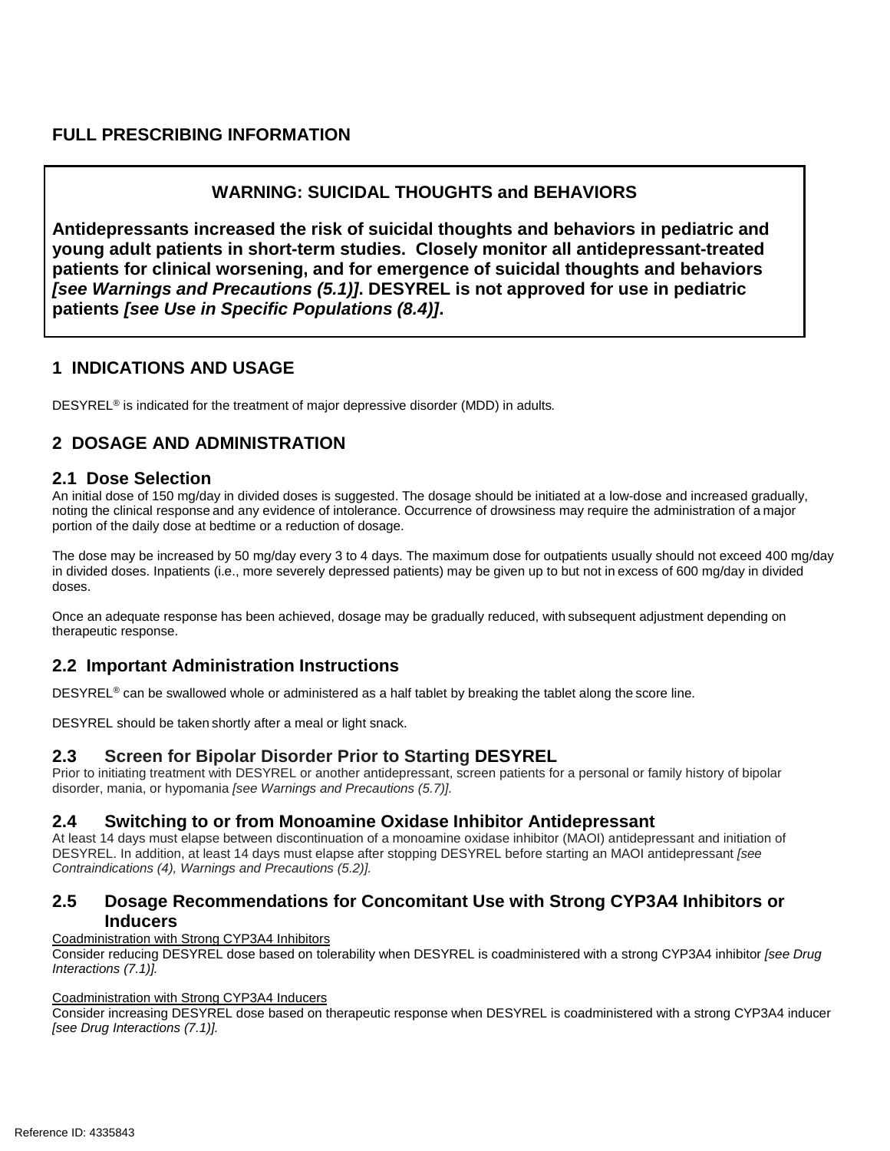## **FULL PRESCRIBING INFORMATION**

## **WARNING: SUICIDAL THOUGHTS and BEHAVIORS**

**Antidepressants increased the risk of suicidal thoughts and behaviors in pediatric and young adult patients in short-term studies. Closely monitor all antidepressant-treated patients for clinical worsening, and for emergence of suicidal thoughts and behaviors**  *[see Warnings and Precautions (5.1)]***. DESYREL is not approved for use in pediatric patients** *[see Use in Specific Populations (8.4)]***.**

## **1 INDICATIONS AND USAGE**

DESYREL® is indicated for the treatment of major depressive disorder (MDD) in adults*.*

# **2 DOSAGE AND ADMINISTRATION**

### **2.1 Dose Selection**

An initial dose of 150 mg/day in divided doses is suggested. The dosage should be initiated at a low-dose and increased gradually, noting the clinical response and any evidence of intolerance. Occurrence of drowsiness may require the administration of a major portion of the daily dose at bedtime or a reduction of dosage.

The dose may be increased by 50 mg/day every 3 to 4 days. The maximum dose for outpatients usually should not exceed 400 mg/day in divided doses. Inpatients (i.e., more severely depressed patients) may be given up to but not in excess of 600 mg/day in divided doses.

Once an adequate response has been achieved, dosage may be gradually reduced, with subsequent adjustment depending on therapeutic response.

## **2.2 Important Administration Instructions**

DESYREL<sup>®</sup> can be swallowed whole or administered as a half tablet by breaking the tablet along the score line.

DESYREL should be taken shortly after a meal or light snack.

## **2.3 Screen for Bipolar Disorder Prior to Starting DESYREL**

Prior to initiating treatment with DESYREL or another antidepressant, screen patients for a personal or family history of bipolar disorder, mania, or hypomania *[see Warnings and Precautions (5.7)].*

## **2.4 Switching to or from Monoamine Oxidase Inhibitor Antidepressant**

At least 14 days must elapse between discontinuation of a monoamine oxidase inhibitor (MAOI) antidepressant and initiation of DESYREL. In addition, at least 14 days must elapse after stopping DESYREL before starting an MAOI antidepressant *[see Contraindications (4), Warnings and Precautions (5.2)].*

## **2.5 Dosage Recommendations for Concomitant Use with Strong CYP3A4 Inhibitors or Inducers**

Coadministration with Strong CYP3A4 Inhibitors

Consider reducing DESYREL dose based on tolerability when DESYREL is coadministered with a strong CYP3A4 inhibitor *[see Drug Interactions (7.1)].* 

### Coadministration with Strong CYP3A4 Inducers

Consider increasing DESYREL dose based on therapeutic response when DESYREL is coadministered with a strong CYP3A4 inducer *[see Drug Interactions (7.1)].*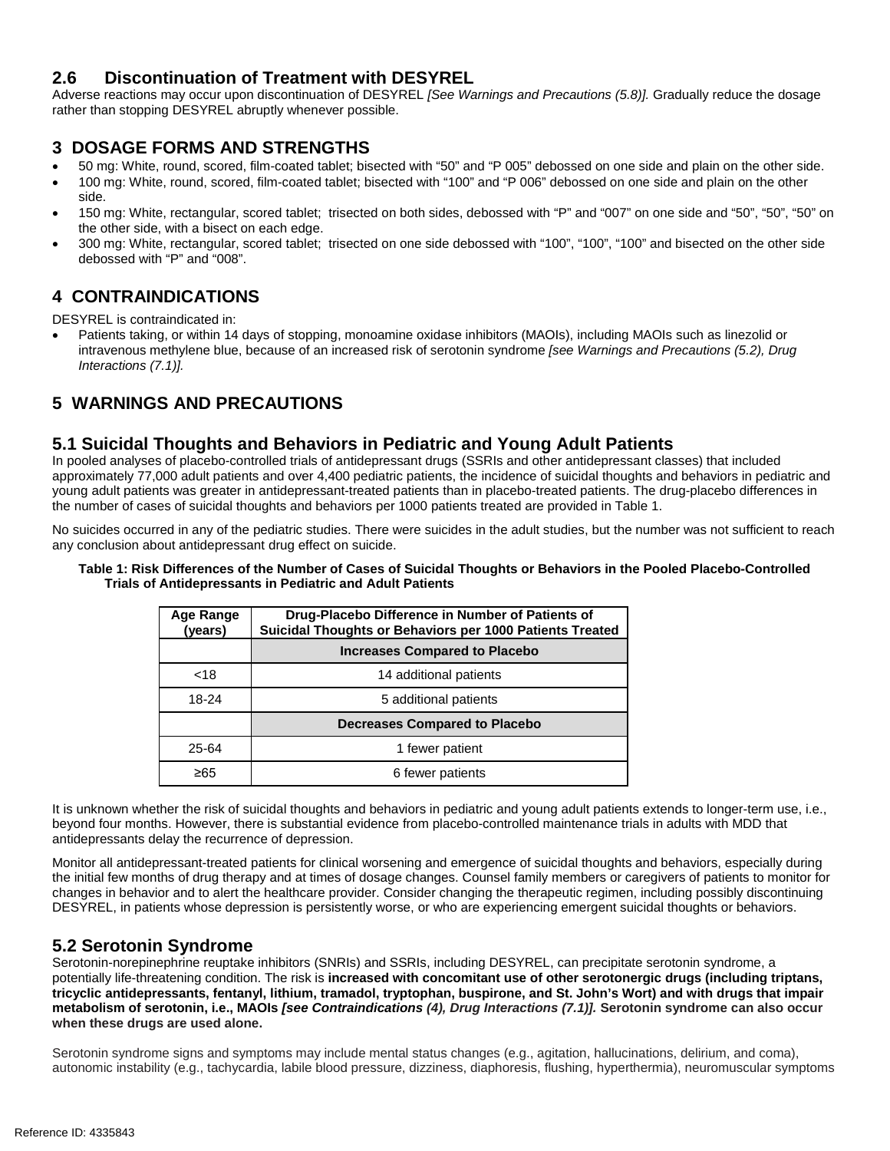## **2.6 Discontinuation of Treatment with DESYREL**

Adverse reactions may occur upon discontinuation of DESYREL *[See Warnings and Precautions (5.8)].* Gradually reduce the dosage rather than stopping DESYREL abruptly whenever possible.

## **3 DOSAGE FORMS AND STRENGTHS**

- 50 mg: White, round, scored, film-coated tablet; bisected with "50" and "P 005" debossed on one side and plain on the other side.
- 100 mg: White, round, scored, film-coated tablet; bisected with "100" and "P 006" debossed on one side and plain on the other side.
- 150 mg: White, rectangular, scored tablet; trisected on both sides, debossed with "P" and "007" on one side and "50", "50", "50" on the other side, with a bisect on each edge.
- 300 mg: White, rectangular, scored tablet; trisected on one side debossed with "100", "100", "100" and bisected on the other side debossed with "P" and "008".

## **4 CONTRAINDICATIONS**

DESYREL is contraindicated in:

• Patients taking, or within 14 days of stopping, monoamine oxidase inhibitors (MAOIs), including MAOIs such as linezolid or intravenous methylene blue, because of an increased risk of serotonin syndrome *[see Warnings and Precautions (5.2), Drug Interactions (7.1)].*

# **5 WARNINGS AND PRECAUTIONS**

## **5.1 Suicidal Thoughts and Behaviors in Pediatric and Young Adult Patients**

In pooled analyses of placebo-controlled trials of antidepressant drugs (SSRIs and other antidepressant classes) that included approximately 77,000 adult patients and over 4,400 pediatric patients, the incidence of suicidal thoughts and behaviors in pediatric and young adult patients was greater in antidepressant-treated patients than in placebo-treated patients. The drug-placebo differences in the number of cases of suicidal thoughts and behaviors per 1000 patients treated are provided in Table 1.

No suicides occurred in any of the pediatric studies. There were suicides in the adult studies, but the number was not sufficient to reach any conclusion about antidepressant drug effect on suicide.

#### **Table 1: Risk Differences of the Number of Cases of Suicidal Thoughts or Behaviors in the Pooled Placebo-Controlled Trials of Antidepressants in Pediatric and Adult Patients**

| Age Range<br>(years) | Drug-Placebo Difference in Number of Patients of<br>Suicidal Thoughts or Behaviors per 1000 Patients Treated |
|----------------------|--------------------------------------------------------------------------------------------------------------|
|                      | <b>Increases Compared to Placebo</b>                                                                         |
| $<$ 18               | 14 additional patients                                                                                       |
| 18-24                | 5 additional patients                                                                                        |
|                      | <b>Decreases Compared to Placebo</b>                                                                         |
| 25-64                | 1 fewer patient                                                                                              |
| ≥65                  | 6 fewer patients                                                                                             |

It is unknown whether the risk of suicidal thoughts and behaviors in pediatric and young adult patients extends to longer-term use, i.e., beyond four months. However, there is substantial evidence from placebo-controlled maintenance trials in adults with MDD that antidepressants delay the recurrence of depression.

Monitor all antidepressant-treated patients for clinical worsening and emergence of suicidal thoughts and behaviors, especially during the initial few months of drug therapy and at times of dosage changes. Counsel family members or caregivers of patients to monitor for changes in behavior and to alert the healthcare provider. Consider changing the therapeutic regimen, including possibly discontinuing DESYREL, in patients whose depression is persistently worse, or who are experiencing emergent suicidal thoughts or behaviors.

## **5.2 Serotonin Syndrome**

Serotonin-norepinephrine reuptake inhibitors (SNRIs) and SSRIs, including DESYREL, can precipitate serotonin syndrome, a potentially life-threatening condition. The risk is **increased with concomitant use of other serotonergic drugs (including triptans, tricyclic antidepressants, fentanyl, lithium, tramadol, tryptophan, buspirone, and St. John's Wort) and with drugs that impair metabolism of serotonin, i.e., MAOIs** *[see Contraindications (4), Drug Interactions (7.1)].* **Serotonin syndrome can also occur when these drugs are used alone.** 

Serotonin syndrome signs and symptoms may include mental status changes (e.g., agitation, hallucinations, delirium, and coma), autonomic instability (e.g., tachycardia, labile blood pressure, dizziness, diaphoresis, flushing, hyperthermia), neuromuscular symptoms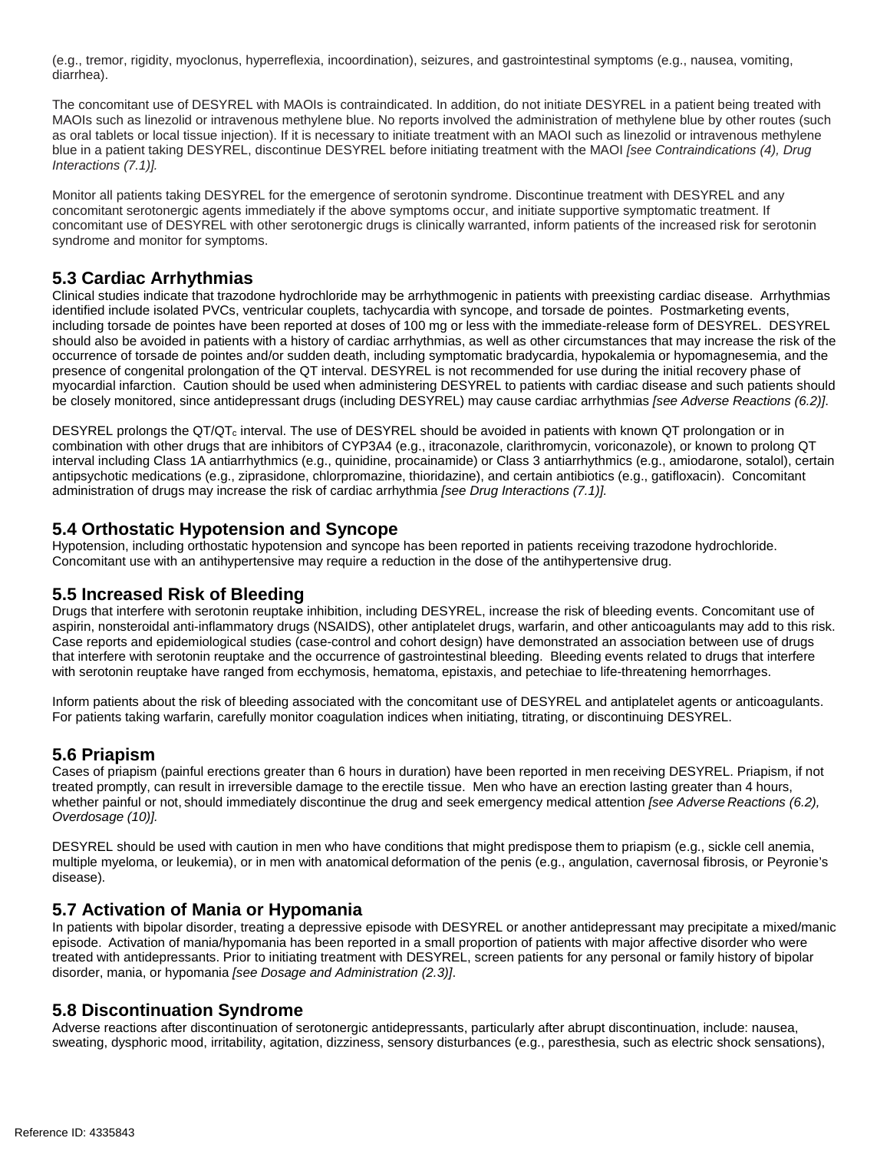(e.g., tremor, rigidity, myoclonus, hyperreflexia, incoordination), seizures, and gastrointestinal symptoms (e.g., nausea, vomiting, diarrhea).

The concomitant use of DESYREL with MAOIs is contraindicated. In addition, do not initiate DESYREL in a patient being treated with MAOIs such as linezolid or intravenous methylene blue. No reports involved the administration of methylene blue by other routes (such as oral tablets or local tissue injection). If it is necessary to initiate treatment with an MAOI such as linezolid or intravenous methylene blue in a patient taking DESYREL, discontinue DESYREL before initiating treatment with the MAOI *[see Contraindications (4), Drug Interactions (7.1)].*

Monitor all patients taking DESYREL for the emergence of serotonin syndrome. Discontinue treatment with DESYREL and any concomitant serotonergic agents immediately if the above symptoms occur, and initiate supportive symptomatic treatment. If concomitant use of DESYREL with other serotonergic drugs is clinically warranted, inform patients of the increased risk for serotonin syndrome and monitor for symptoms.

## **5.3 Cardiac Arrhythmias**

Clinical studies indicate that trazodone hydrochloride may be arrhythmogenic in patients with preexisting cardiac disease. Arrhythmias identified include isolated PVCs, ventricular couplets, tachycardia with syncope, and torsade de pointes. Postmarketing events, including torsade de pointes have been reported at doses of 100 mg or less with the immediate-release form of DESYREL. DESYREL should also be avoided in patients with a history of cardiac arrhythmias, as well as other circumstances that may increase the risk of the occurrence of torsade de pointes and/or sudden death, including symptomatic bradycardia, hypokalemia or hypomagnesemia, and the presence of congenital prolongation of the QT interval. DESYREL is not recommended for use during the initial recovery phase of myocardial infarction. Caution should be used when administering DESYREL to patients with cardiac disease and such patients should be closely monitored, since antidepressant drugs (including DESYREL) may cause cardiac arrhythmias *[see Adverse Reactions (6.2)]*.

DESYREL prolongs the QT/QT<sub>c</sub> interval. The use of DESYREL should be avoided in patients with known QT prolongation or in combination with other drugs that are inhibitors of CYP3A4 (e.g., itraconazole, clarithromycin, voriconazole), or known to prolong QT interval including Class 1A antiarrhythmics (e.g., quinidine, procainamide) or Class 3 antiarrhythmics (e.g., amiodarone, sotalol), certain antipsychotic medications (e.g., ziprasidone, chlorpromazine, thioridazine), and certain antibiotics (e.g., gatifloxacin). Concomitant administration of drugs may increase the risk of cardiac arrhythmia *[see Drug Interactions (7.1)].*

### **5.4 Orthostatic Hypotension and Syncope**

Hypotension, including orthostatic hypotension and syncope has been reported in patients receiving trazodone hydrochloride. Concomitant use with an antihypertensive may require a reduction in the dose of the antihypertensive drug.

### **5.5 Increased Risk of Bleeding**

Drugs that interfere with serotonin reuptake inhibition, including DESYREL, increase the risk of bleeding events. Concomitant use of aspirin, nonsteroidal anti-inflammatory drugs (NSAIDS), other antiplatelet drugs, warfarin, and other anticoagulants may add to this risk. Case reports and epidemiological studies (case-control and cohort design) have demonstrated an association between use of drugs that interfere with serotonin reuptake and the occurrence of gastrointestinal bleeding. Bleeding events related to drugs that interfere with serotonin reuptake have ranged from ecchymosis, hematoma, epistaxis, and petechiae to life-threatening hemorrhages.

Inform patients about the risk of bleeding associated with the concomitant use of DESYREL and antiplatelet agents or anticoagulants. For patients taking warfarin, carefully monitor coagulation indices when initiating, titrating, or discontinuing DESYREL.

## **5.6 Priapism**

Cases of priapism (painful erections greater than 6 hours in duration) have been reported in men receiving DESYREL. Priapism, if not treated promptly, can result in irreversible damage to the erectile tissue. Men who have an erection lasting greater than 4 hours, whether painful or not, should immediately discontinue the drug and seek emergency medical attention *[see Adverse Reactions (6.2), Overdosage (10)].*

DESYREL should be used with caution in men who have conditions that might predispose them to priapism (e.g., sickle cell anemia, multiple myeloma, or leukemia), or in men with anatomical deformation of the penis (e.g., angulation, cavernosal fibrosis, or Peyronie's disease).

## **5.7 Activation of Mania or Hypomania**

In patients with bipolar disorder, treating a depressive episode with DESYREL or another antidepressant may precipitate a mixed/manic episode. Activation of mania/hypomania has been reported in a small proportion of patients with major affective disorder who were treated with antidepressants. Prior to initiating treatment with DESYREL, screen patients for any personal or family history of bipolar disorder, mania, or hypomania *[see Dosage and Administration (2.3)]*.

### **5.8 Discontinuation Syndrome**

Adverse reactions after discontinuation of serotonergic antidepressants, particularly after abrupt discontinuation, include: nausea, sweating, dysphoric mood, irritability, agitation, dizziness, sensory disturbances (e.g., paresthesia, such as electric shock sensations),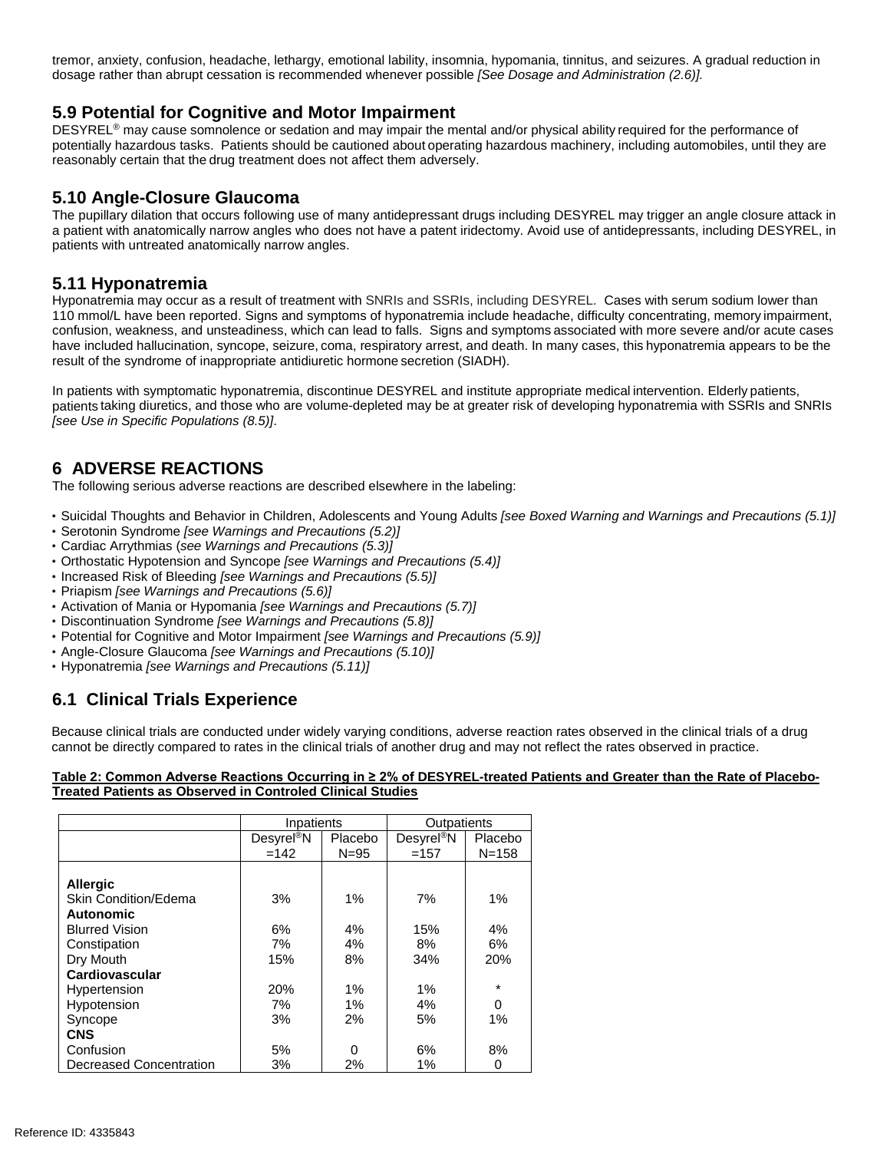tremor, anxiety, confusion, headache, lethargy, emotional lability, insomnia, hypomania, tinnitus, and seizures. A gradual reduction in dosage rather than abrupt cessation is recommended whenever possible *[See Dosage and Administration (2.6)].*

## **5.9 Potential for Cognitive and Motor Impairment**

DESYREL<sup>®</sup> may cause somnolence or sedation and may impair the mental and/or physical ability required for the performance of potentially hazardous tasks. Patients should be cautioned about operating hazardous machinery, including automobiles, until they are reasonably certain that the drug treatment does not affect them adversely.

### **5.10 Angle-Closure Glaucoma**

The pupillary dilation that occurs following use of many antidepressant drugs including DESYREL may trigger an angle closure attack in a patient with anatomically narrow angles who does not have a patent iridectomy. Avoid use of antidepressants, including DESYREL, in patients with untreated anatomically narrow angles.

### **5.11 Hyponatremia**

Hyponatremia may occur as a result of treatment with SNRIs and SSRIs, including DESYREL. Cases with serum sodium lower than 110 mmol/L have been reported. Signs and symptoms of hyponatremia include headache, difficulty concentrating, memory impairment, confusion, weakness, and unsteadiness, which can lead to falls. Signs and symptoms associated with more severe and/or acute cases have included hallucination, syncope, seizure, coma, respiratory arrest, and death. In many cases, this hyponatremia appears to be the result of the syndrome of inappropriate antidiuretic hormone secretion (SIADH).

In patients with symptomatic hyponatremia, discontinue DESYREL and institute appropriate medical intervention. Elderly patients, patients taking diuretics, and those who are volume-depleted may be at greater risk of developing hyponatremia with SSRIs and SNRIs *[see Use in Specific Populations (8.5)]*.

## **6 ADVERSE REACTIONS**

The following serious adverse reactions are described elsewhere in the labeling:

- Suicidal Thoughts and Behavior in Children, Adolescents and Young Adults *[see Boxed Warning and Warnings and Precautions (5.1)]*
- Serotonin Syndrome *[see Warnings and Precautions (5.2)]*
- Cardiac Arrythmias (*see Warnings and Precautions (5.3)]*
- Orthostatic Hypotension and Syncope *[see Warnings and Precautions (5.4)]*
- Increased Risk of Bleeding *[see Warnings and Precautions (5.5)]*
- Priapism *[see Warnings and Precautions (5.6)]*
- Activation of Mania or Hypomania *[see Warnings and Precautions (5.7)]*
- Discontinuation Syndrome *[see Warnings and Precautions (5.8)]*
- Potential for Cognitive and Motor Impairment *[see Warnings and Precautions (5.9)]*
- Angle-Closure Glaucoma *[see Warnings and Precautions (5.10)]*
- Hyponatremia *[see Warnings and Precautions (5.11)]*

# **6.1 Clinical Trials Experience**

Because clinical trials are conducted under widely varying conditions, adverse reaction rates observed in the clinical trials of a drug cannot be directly compared to rates in the clinical trials of another drug and may not reflect the rates observed in practice.

#### Table 2: Common Adverse Reactions Occurring in ≥ 2% of DESYREL-treated Patients and Greater than the Rate of Placebo-**Treated Patients as Observed in Controled Clinical Studies**

|                         | Inpatients                  |          | Outpatients           |           |
|-------------------------|-----------------------------|----------|-----------------------|-----------|
|                         | <b>Desyrel<sup>®</sup>N</b> | Placebo  | Desyre <sup>®</sup> N | Placebo   |
|                         | $=142$                      | $N = 95$ | $=157$                | $N = 158$ |
|                         |                             |          |                       |           |
| <b>Allergic</b>         |                             |          |                       |           |
| Skin Condition/Edema    | 3%                          | 1%       | 7%                    | 1%        |
| <b>Autonomic</b>        |                             |          |                       |           |
| <b>Blurred Vision</b>   | 6%                          | 4%       | 15%                   | 4%        |
| Constipation            | 7%                          | 4%       | 8%                    | 6%        |
| Dry Mouth               | 15%                         | 8%       | 34%                   | 20%       |
| Cardiovascular          |                             |          |                       |           |
| Hypertension            | <b>20%</b>                  | $1\%$    | 1%                    | $\star$   |
| Hypotension             | 7%                          | $1\%$    | 4%                    | $\Omega$  |
| Syncope                 | 3%                          | 2%       | 5%                    | 1%        |
| <b>CNS</b>              |                             |          |                       |           |
| Confusion               | 5%                          | 0        | 6%                    | 8%        |
| Decreased Concentration | 3%                          | 2%       | 1%                    | 0         |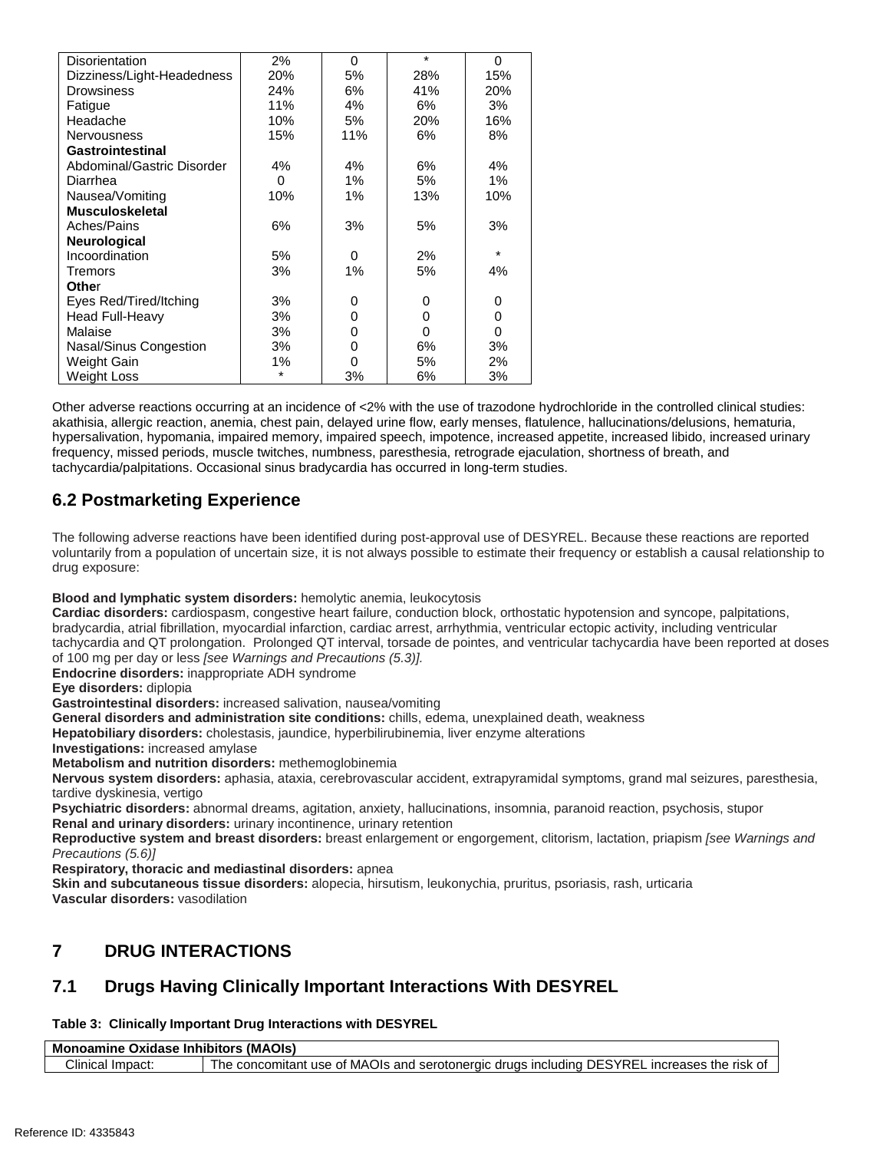| Disorientation             | 2%  | $\Omega$ | $\star$ | 0       |
|----------------------------|-----|----------|---------|---------|
| Dizziness/Light-Headedness | 20% | 5%       | 28%     | 15%     |
| Drowsiness                 | 24% | 6%       | 41%     | 20%     |
| Fatique                    | 11% | 4%       | 6%      | 3%      |
| Headache                   | 10% | 5%       | 20%     | 16%     |
| <b>Nervousness</b>         | 15% | 11%      | 6%      | 8%      |
| Gastrointestinal           |     |          |         |         |
| Abdominal/Gastric Disorder | 4%  | 4%       | 6%      | 4%      |
| Diarrhea                   | 0   | 1%       | 5%      | 1%      |
| Nausea/Vomiting            | 10% | 1%       | 13%     | 10%     |
| <b>Musculoskeletal</b>     |     |          |         |         |
| Aches/Pains                | 6%  | 3%       | 5%      | 3%      |
| Neurological               |     |          |         |         |
| Incoordination             | 5%  | 0        | 2%      | $\star$ |
| Tremors                    | 3%  | 1%       | 5%      | 4%      |
| Other                      |     |          |         |         |
| Eyes Red/Tired/Itching     | 3%  | 0        | 0       | 0       |
| <b>Head Full-Heavy</b>     | 3%  | 0        | 0       | 0       |
| Malaise                    | 3%  | 0        | 0       | 0       |
| Nasal/Sinus Congestion     | 3%  | 0        | 6%      | 3%      |
| Weight Gain                | 1%  | 0        | 5%      | 2%      |
| <b>Weight Loss</b>         |     | 3%       | 6%      | 3%      |

Other adverse reactions occurring at an incidence of <2% with the use of trazodone hydrochloride in the controlled clinical studies: akathisia, allergic reaction, anemia, chest pain, delayed urine flow, early menses, flatulence, hallucinations/delusions, hematuria, hypersalivation, hypomania, impaired memory, impaired speech, impotence, increased appetite, increased libido, increased urinary frequency, missed periods, muscle twitches, numbness, paresthesia, retrograde ejaculation, shortness of breath, and tachycardia/palpitations. Occasional sinus bradycardia has occurred in long-term studies.

# **6.2 Postmarketing Experience**

The following adverse reactions have been identified during post-approval use of DESYREL. Because these reactions are reported voluntarily from a population of uncertain size, it is not always possible to estimate their frequency or establish a causal relationship to drug exposure:

### **Blood and lymphatic system disorders:** hemolytic anemia, leukocytosis

**Cardiac disorders:** cardiospasm, congestive heart failure, conduction block, orthostatic hypotension and syncope, palpitations, bradycardia, atrial fibrillation, myocardial infarction, cardiac arrest, arrhythmia, ventricular ectopic activity, including ventricular tachycardia and QT prolongation. Prolonged QT interval, torsade de pointes, and ventricular tachycardia have been reported at doses of 100 mg per day or less *[see Warnings and Precautions (5.3)].*

**Endocrine disorders:** inappropriate ADH syndrome

**Eye disorders:** diplopia

**Gastrointestinal disorders:** increased salivation, nausea/vomiting

**General disorders and administration site conditions:** chills, edema, unexplained death, weakness

**Hepatobiliary disorders:** cholestasis, jaundice, hyperbilirubinemia, liver enzyme alterations

**Investigations:** increased amylase

**Metabolism and nutrition disorders:** methemoglobinemia

**Nervous system disorders:** aphasia, ataxia, cerebrovascular accident, extrapyramidal symptoms, grand mal seizures, paresthesia, tardive dyskinesia, vertigo

**Psychiatric disorders:** abnormal dreams, agitation, anxiety, hallucinations, insomnia, paranoid reaction, psychosis, stupor **Renal and urinary disorders:** urinary incontinence, urinary retention

**Reproductive system and breast disorders:** breast enlargement or engorgement, clitorism, lactation, priapism *[see Warnings and Precautions (5.6)]*

**Respiratory, thoracic and mediastinal disorders:** apnea

**Skin and subcutaneous tissue disorders:** alopecia, hirsutism, leukonychia, pruritus, psoriasis, rash, urticaria **Vascular disorders:** vasodilation

# **7 DRUG INTERACTIONS**

# **7.1 Drugs Having Clinically Important Interactions With DESYREL**

## **Table 3: Clinically Important Drug Interactions with DESYREL**

| (MAOIs)<br>Mo<br>$\sim$ 14 $\sim$ 4 14 $\sim$ 15 $\sim$<br>Oxidase Inhibitors<br>'ne .<br>оаг |                                                                                                                                                       |  |  |
|-----------------------------------------------------------------------------------------------|-------------------------------------------------------------------------------------------------------------------------------------------------------|--|--|
| Clinical<br>!mpact:                                                                           | <b>SYRE</b><br>of MAC<br>Jis and<br>1⊢.<br>the risk<br>serotonergic<br>druas<br>, includina<br>increases<br>he.<br>itant use<br>$\sim$<br>concomitant |  |  |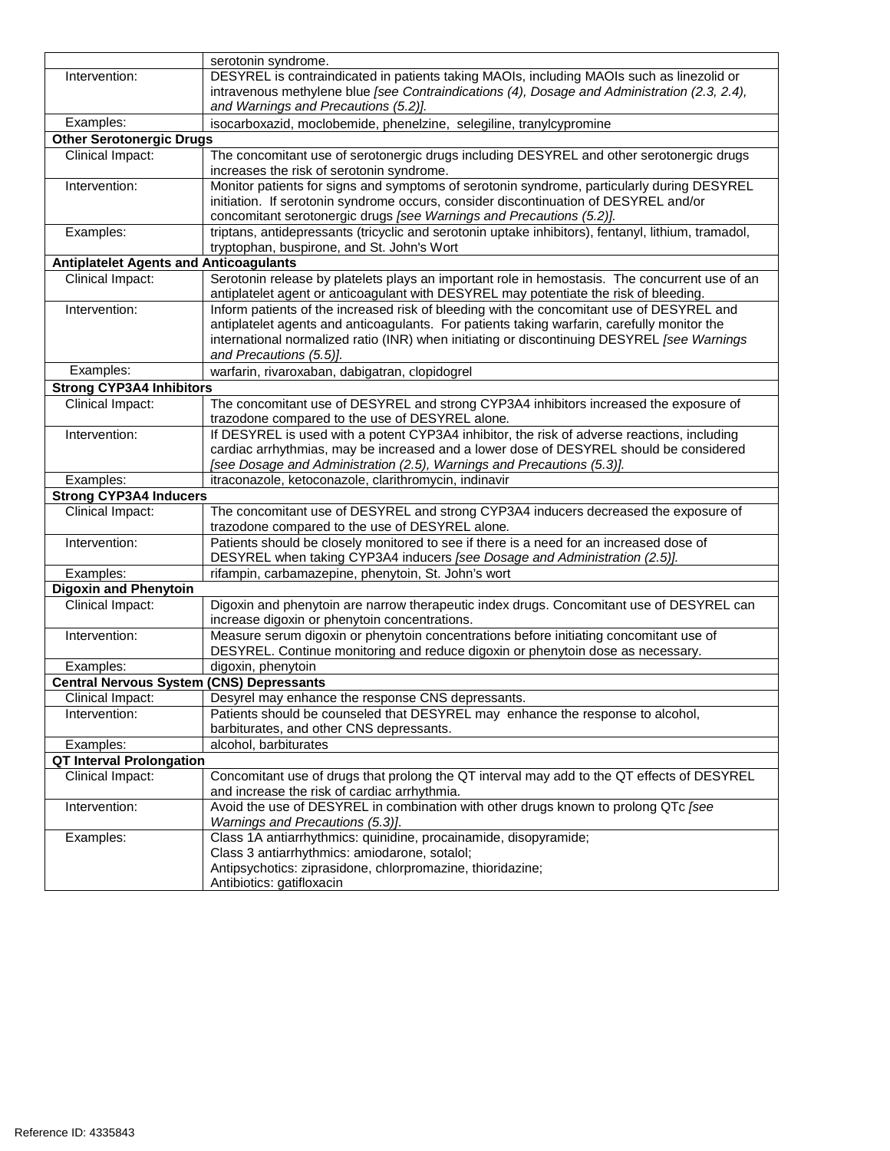|                                                 | serotonin syndrome.                                                                                                                                                                        |
|-------------------------------------------------|--------------------------------------------------------------------------------------------------------------------------------------------------------------------------------------------|
| Intervention:                                   | DESYREL is contraindicated in patients taking MAOIs, including MAOIs such as linezolid or                                                                                                  |
|                                                 | intravenous methylene blue [see Contraindications (4), Dosage and Administration (2.3, 2.4),                                                                                               |
|                                                 | and Warnings and Precautions (5.2)].                                                                                                                                                       |
| Examples:                                       | isocarboxazid, moclobemide, phenelzine, selegiline, tranylcypromine                                                                                                                        |
| <b>Other Serotonergic Drugs</b>                 |                                                                                                                                                                                            |
| Clinical Impact:                                | The concomitant use of serotonergic drugs including DESYREL and other serotonergic drugs                                                                                                   |
|                                                 | increases the risk of serotonin syndrome.                                                                                                                                                  |
| Intervention:                                   | Monitor patients for signs and symptoms of serotonin syndrome, particularly during DESYREL                                                                                                 |
|                                                 | initiation. If serotonin syndrome occurs, consider discontinuation of DESYREL and/or                                                                                                       |
|                                                 | concomitant serotonergic drugs [see Warnings and Precautions (5.2)].                                                                                                                       |
| Examples:                                       | triptans, antidepressants (tricyclic and serotonin uptake inhibitors), fentanyl, lithium, tramadol,                                                                                        |
|                                                 | tryptophan, buspirone, and St. John's Wort                                                                                                                                                 |
| <b>Antiplatelet Agents and Anticoagulants</b>   |                                                                                                                                                                                            |
| Clinical Impact:                                | Serotonin release by platelets plays an important role in hemostasis. The concurrent use of an                                                                                             |
|                                                 | antiplatelet agent or anticoagulant with DESYREL may potentiate the risk of bleeding.                                                                                                      |
| Intervention:                                   | Inform patients of the increased risk of bleeding with the concomitant use of DESYREL and                                                                                                  |
|                                                 | antiplatelet agents and anticoagulants. For patients taking warfarin, carefully monitor the<br>international normalized ratio (INR) when initiating or discontinuing DESYREL [see Warnings |
|                                                 | and Precautions (5.5)].                                                                                                                                                                    |
| Examples:                                       | warfarin, rivaroxaban, dabigatran, clopidogrel                                                                                                                                             |
| <b>Strong CYP3A4 Inhibitors</b>                 |                                                                                                                                                                                            |
| Clinical Impact:                                | The concomitant use of DESYREL and strong CYP3A4 inhibitors increased the exposure of                                                                                                      |
|                                                 | trazodone compared to the use of DESYREL alone.                                                                                                                                            |
| Intervention:                                   | If DESYREL is used with a potent CYP3A4 inhibitor, the risk of adverse reactions, including                                                                                                |
|                                                 | cardiac arrhythmias, may be increased and a lower dose of DESYREL should be considered                                                                                                     |
|                                                 | [see Dosage and Administration (2.5), Warnings and Precautions (5.3)].                                                                                                                     |
| Examples:                                       | itraconazole, ketoconazole, clarithromycin, indinavir                                                                                                                                      |
| <b>Strong CYP3A4 Inducers</b>                   |                                                                                                                                                                                            |
| Clinical Impact:                                | The concomitant use of DESYREL and strong CYP3A4 inducers decreased the exposure of                                                                                                        |
|                                                 | trazodone compared to the use of DESYREL alone.                                                                                                                                            |
| Intervention:                                   | Patients should be closely monitored to see if there is a need for an increased dose of                                                                                                    |
|                                                 | DESYREL when taking CYP3A4 inducers [see Dosage and Administration (2.5)].                                                                                                                 |
| Examples:                                       | rifampin, carbamazepine, phenytoin, St. John's wort                                                                                                                                        |
| <b>Digoxin and Phenytoin</b>                    |                                                                                                                                                                                            |
| Clinical Impact:                                | Digoxin and phenytoin are narrow therapeutic index drugs. Concomitant use of DESYREL can                                                                                                   |
|                                                 | increase digoxin or phenytoin concentrations.                                                                                                                                              |
| Intervention:                                   | Measure serum digoxin or phenytoin concentrations before initiating concomitant use of                                                                                                     |
|                                                 | DESYREL. Continue monitoring and reduce digoxin or phenytoin dose as necessary.                                                                                                            |
| Examples:                                       | digoxin, phenytoin                                                                                                                                                                         |
| <b>Central Nervous System (CNS) Depressants</b> |                                                                                                                                                                                            |
| Clinical Impact:                                | Desyrel may enhance the response CNS depressants.                                                                                                                                          |
| Intervention:                                   | Patients should be counseled that DESYREL may enhance the response to alcohol,                                                                                                             |
|                                                 | barbiturates, and other CNS depressants.                                                                                                                                                   |
| Examples:                                       | alcohol, barbiturates                                                                                                                                                                      |
| <b>QT Interval Prolongation</b>                 |                                                                                                                                                                                            |
| Clinical Impact:                                | Concomitant use of drugs that prolong the QT interval may add to the QT effects of DESYREL                                                                                                 |
|                                                 | and increase the risk of cardiac arrhythmia.                                                                                                                                               |
| Intervention:                                   | Avoid the use of DESYREL in combination with other drugs known to prolong QTc [see                                                                                                         |
| Examples:                                       | Warnings and Precautions (5.3)].<br>Class 1A antiarrhythmics: quinidine, procainamide, disopyramide;                                                                                       |
|                                                 | Class 3 antiarrhythmics: amiodarone, sotalol;                                                                                                                                              |
|                                                 | Antipsychotics: ziprasidone, chlorpromazine, thioridazine;                                                                                                                                 |
|                                                 | Antibiotics: gatifloxacin                                                                                                                                                                  |
|                                                 |                                                                                                                                                                                            |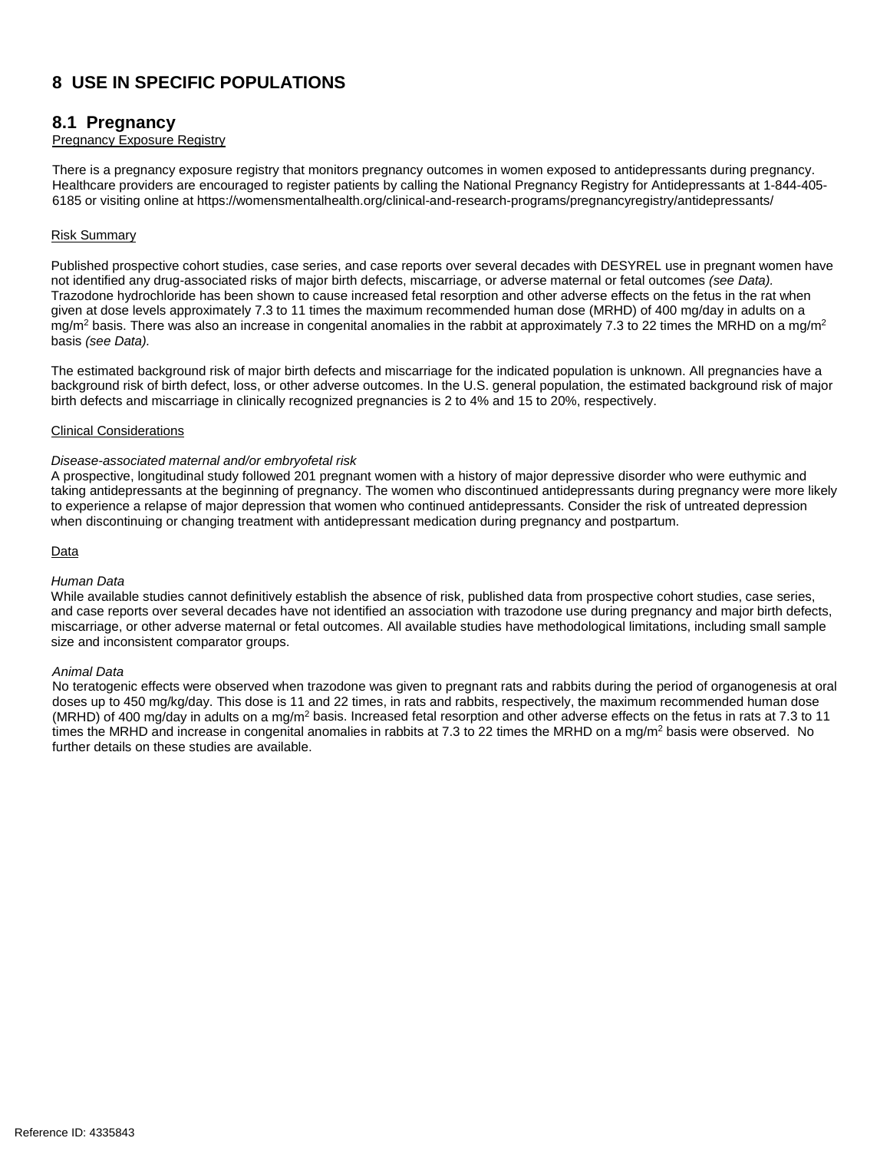# **8 USE IN SPECIFIC POPULATIONS**

### **8.1 Pregnancy**

#### Pregnancy Exposure Registry

There is a pregnancy exposure registry that monitors pregnancy outcomes in women exposed to antidepressants during pregnancy. Healthcare providers are encouraged to register patients by calling the National Pregnancy Registry for Antidepressants at 1-844-405- 6185 or visiting online at https://womensmentalhealth.org/clinical-and-research-programs/pregnancyregistry/antidepressants/

#### Risk Summary

Published prospective cohort studies, case series, and case reports over several decades with DESYREL use in pregnant women have not identified any drug-associated risks of major birth defects, miscarriage, or adverse maternal or fetal outcomes *(see Data).* Trazodone hydrochloride has been shown to cause increased fetal resorption and other adverse effects on the fetus in the rat when given at dose levels approximately 7.3 to 11 times the maximum recommended human dose (MRHD) of 400 mg/day in adults on a mg/m<sup>2</sup> basis. There was also an increase in congenital anomalies in the rabbit at approximately 7.3 to 22 times the MRHD on a mg/m<sup>2</sup> basis *(see Data).*

The estimated background risk of major birth defects and miscarriage for the indicated population is unknown. All pregnancies have a background risk of birth defect, loss, or other adverse outcomes. In the U.S. general population, the estimated background risk of major birth defects and miscarriage in clinically recognized pregnancies is 2 to 4% and 15 to 20%, respectively.

#### Clinical Considerations

#### *Disease-associated maternal and/or embryofetal risk*

A prospective, longitudinal study followed 201 pregnant women with a history of major depressive disorder who were euthymic and taking antidepressants at the beginning of pregnancy. The women who discontinued antidepressants during pregnancy were more likely to experience a relapse of major depression that women who continued antidepressants. Consider the risk of untreated depression when discontinuing or changing treatment with antidepressant medication during pregnancy and postpartum.

#### **Data**

#### *Human Data*

While available studies cannot definitively establish the absence of risk, published data from prospective cohort studies, case series, and case reports over several decades have not identified an association with trazodone use during pregnancy and major birth defects, miscarriage, or other adverse maternal or fetal outcomes. All available studies have methodological limitations, including small sample size and inconsistent comparator groups.

#### *Animal Data*

No teratogenic effects were observed when trazodone was given to pregnant rats and rabbits during the period of organogenesis at oral doses up to 450 mg/kg/day. This dose is 11 and 22 times, in rats and rabbits, respectively, the maximum recommended human dose (MRHD) of 400 mg/day in adults on a mg/m<sup>2</sup> basis. Increased fetal resorption and other adverse effects on the fetus in rats at 7.3 to 11 times the MRHD and increase in congenital anomalies in rabbits at 7.3 to 22 times the MRHD on a mg/m<sup>2</sup> basis were observed. No further details on these studies are available.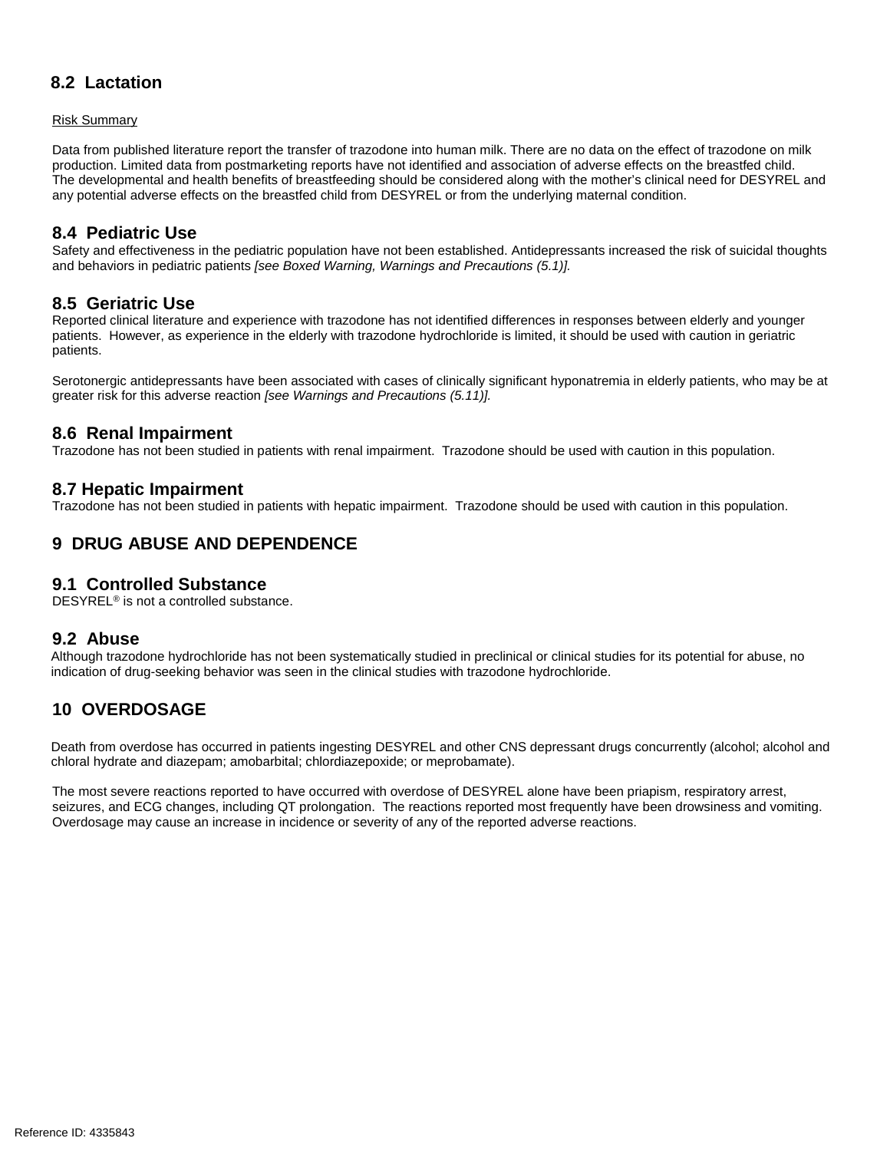## **8.2 Lactation**

Risk Summary

Data from published literature report the transfer of trazodone into human milk. There are no data on the effect of trazodone on milk production. Limited data from postmarketing reports have not identified and association of adverse effects on the breastfed child. The developmental and health benefits of breastfeeding should be considered along with the mother's clinical need for DESYREL and any potential adverse effects on the breastfed child from DESYREL or from the underlying maternal condition.

## **8.4 Pediatric Use**

Safety and effectiveness in the pediatric population have not been established. Antidepressants increased the risk of suicidal thoughts and behaviors in pediatric patients *[see Boxed Warning, Warnings and Precautions (5.1)].* 

## **8.5 Geriatric Use**

Reported clinical literature and experience with trazodone has not identified differences in responses between elderly and younger patients. However, as experience in the elderly with trazodone hydrochloride is limited, it should be used with caution in geriatric patients.

Serotonergic antidepressants have been associated with cases of clinically significant hyponatremia in elderly patients, who may be at greater risk for this adverse reaction *[see Warnings and Precautions (5.11)].*

### **8.6 Renal Impairment**

Trazodone has not been studied in patients with renal impairment. Trazodone should be used with caution in this population.

### **8.7 Hepatic Impairment**

Trazodone has not been studied in patients with hepatic impairment. Trazodone should be used with caution in this population.

## **9 DRUG ABUSE AND DEPENDENCE**

### **9.1 Controlled Substance**

DESYREL® is not a controlled substance.

### **9.2 Abuse**

Although trazodone hydrochloride has not been systematically studied in preclinical or clinical studies for its potential for abuse, no indication of drug-seeking behavior was seen in the clinical studies with trazodone hydrochloride.

## **10 OVERDOSAGE**

Death from overdose has occurred in patients ingesting DESYREL and other CNS depressant drugs concurrently (alcohol; alcohol and chloral hydrate and diazepam; amobarbital; chlordiazepoxide; or meprobamate).

The most severe reactions reported to have occurred with overdose of DESYREL alone have been priapism, respiratory arrest, seizures, and ECG changes, including QT prolongation. The reactions reported most frequently have been drowsiness and vomiting. Overdosage may cause an increase in incidence or severity of any of the reported adverse reactions.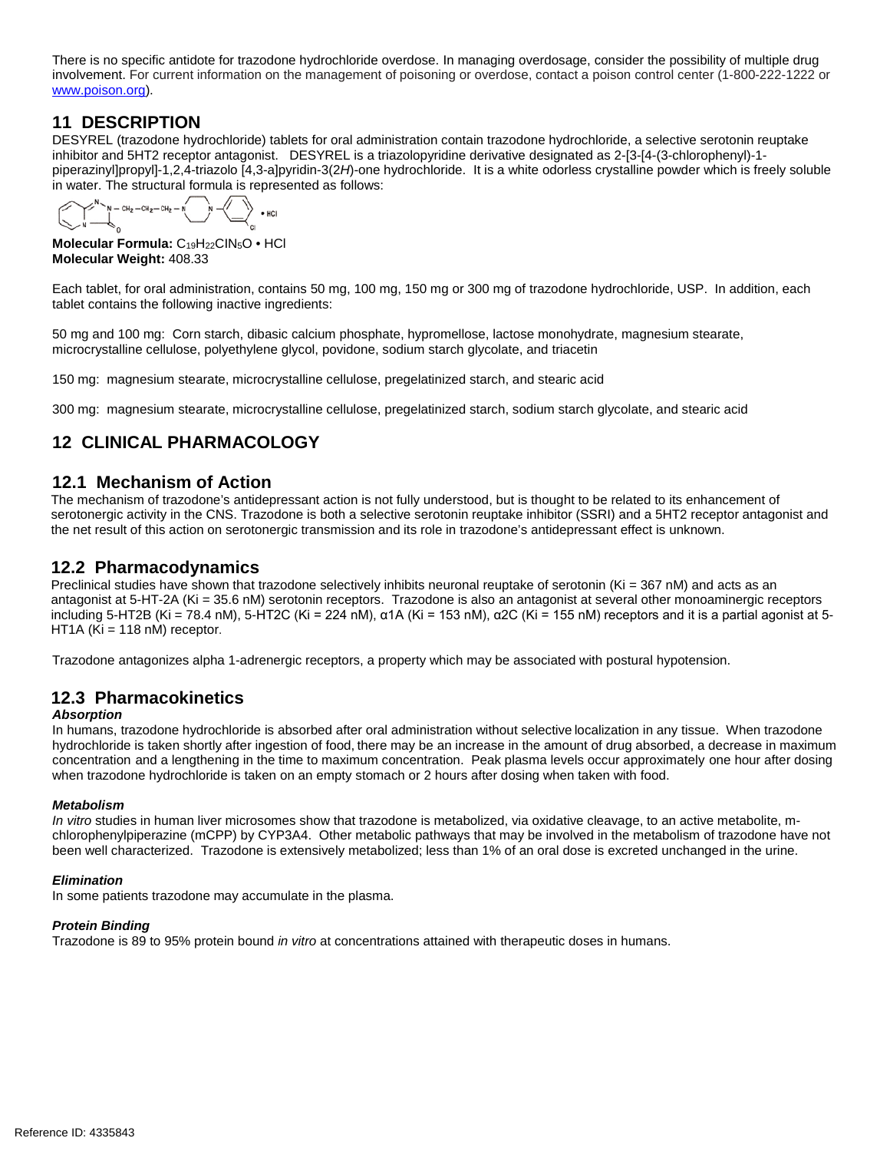There is no specific antidote for trazodone hydrochloride overdose. In managing overdosage, consider the possibility of multiple drug involvement. For current information on the management of poisoning or overdose, contact a poison control center (1-800-222-1222 or [www.poison.org\)](http://www.poison.org/).

## **11 DESCRIPTION**

DESYREL (trazodone hydrochloride) tablets for oral administration contain trazodone hydrochloride, a selective serotonin reuptake inhibitor and 5HT2 receptor antagonist. DESYREL is a triazolopyridine derivative designated as 2-[3-[4-(3-chlorophenyl)-1 piperazinyl]propyl]-1,2,4-triazolo [4,3-a]pyridin-3(2*H*)-one hydrochloride. It is a white odorless crystalline powder which is freely soluble in water. The structural formula is represented as follows:

 $-$  CH<sub>2</sub>  $-$  CH<sub>2</sub>  $-$  CH<sub>2</sub>  $-$  N<sup>2</sup>  $\searrow$  • HCI

**Molecular Formula:** C19H22CIN5O • HCl **Molecular Weight:** 408.33

Each tablet, for oral administration, contains 50 mg, 100 mg, 150 mg or 300 mg of trazodone hydrochloride, USP. In addition, each tablet contains the following inactive ingredients:

50 mg and 100 mg: Corn starch, dibasic calcium phosphate, hypromellose, lactose monohydrate, magnesium stearate, microcrystalline cellulose, polyethylene glycol, povidone, sodium starch glycolate, and triacetin

150 mg: magnesium stearate, microcrystalline cellulose, pregelatinized starch, and stearic acid

300 mg: magnesium stearate, microcrystalline cellulose, pregelatinized starch, sodium starch glycolate, and stearic acid

# **12 CLINICAL PHARMACOLOGY**

### **12.1 Mechanism of Action**

The mechanism of trazodone's antidepressant action is not fully understood, but is thought to be related to its enhancement of serotonergic activity in the CNS. Trazodone is both a selective serotonin reuptake inhibitor (SSRI) and a 5HT2 receptor antagonist and the net result of this action on serotonergic transmission and its role in trazodone's antidepressant effect is unknown.

## **12.2 Pharmacodynamics**

Preclinical studies have shown that trazodone selectively inhibits neuronal reuptake of serotonin (Ki = 367 nM) and acts as an antagonist at 5-HT-2A (Ki = 35.6 nM) serotonin receptors. Trazodone is also an antagonist at several other monoaminergic receptors including 5-HT2B (Ki = 78.4 nM), 5-HT2C (Ki = 224 nM), α1A (Ki = 153 nM), α2C (Ki = 155 nM) receptors and it is a partial agonist at 5-HT1A ( $Ki = 118$  nM) receptor.

Trazodone antagonizes alpha 1-adrenergic receptors, a property which may be associated with postural hypotension.

## **12.3 Pharmacokinetics**

### *Absorption*

In humans, trazodone hydrochloride is absorbed after oral administration without selective localization in any tissue. When trazodone hydrochloride is taken shortly after ingestion of food, there may be an increase in the amount of drug absorbed, a decrease in maximum concentration and a lengthening in the time to maximum concentration. Peak plasma levels occur approximately one hour after dosing when trazodone hydrochloride is taken on an empty stomach or 2 hours after dosing when taken with food.

#### *Metabolism*

*In vitro* studies in human liver microsomes show that trazodone is metabolized, via oxidative cleavage, to an active metabolite, mchlorophenylpiperazine (mCPP) by CYP3A4. Other metabolic pathways that may be involved in the metabolism of trazodone have not been well characterized. Trazodone is extensively metabolized; less than 1% of an oral dose is excreted unchanged in the urine.

#### *Elimination*

In some patients trazodone may accumulate in the plasma.

### *Protein Binding*

Trazodone is 89 to 95% protein bound *in vitro* at concentrations attained with therapeutic doses in humans.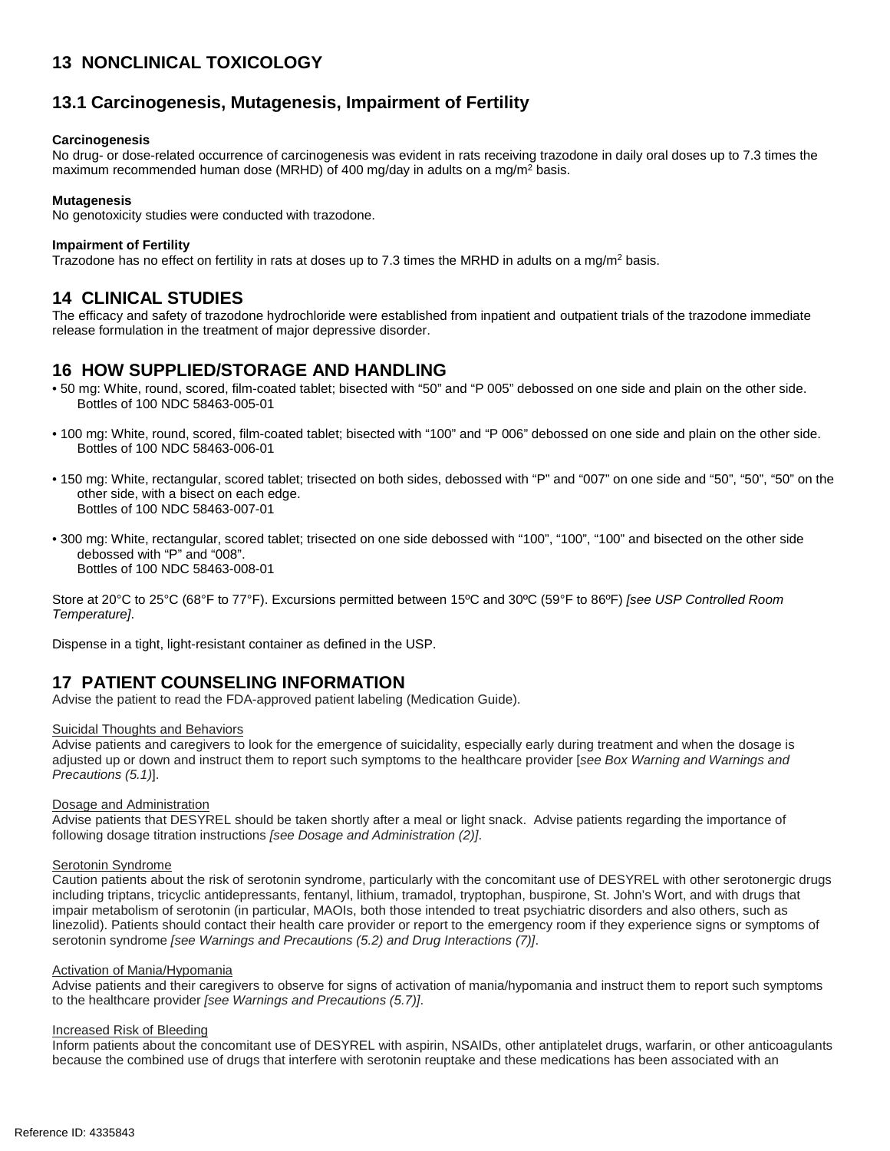# **13 NONCLINICAL TOXICOLOGY**

## **13.1 Carcinogenesis, Mutagenesis, Impairment of Fertility**

#### **Carcinogenesis**

No drug- or dose-related occurrence of carcinogenesis was evident in rats receiving trazodone in daily oral doses up to 7.3 times the maximum recommended human dose (MRHD) of 400 mg/day in adults on a mg/m<sup>2</sup> basis.

#### **Mutagenesis**

No genotoxicity studies were conducted with trazodone.

#### **Impairment of Fertility**

Trazodone has no effect on fertility in rats at doses up to 7.3 times the MRHD in adults on a mg/m<sup>2</sup> basis.

## **14 CLINICAL STUDIES**

The efficacy and safety of trazodone hydrochloride were established from inpatient and outpatient trials of the trazodone immediate release formulation in the treatment of major depressive disorder.

### **16 HOW SUPPLIED/STORAGE AND HANDLING**

- 50 mg: White, round, scored, film-coated tablet; bisected with "50" and "P 005" debossed on one side and plain on the other side. Bottles of 100 NDC 58463-005-01
- 100 mg: White, round, scored, film-coated tablet; bisected with "100" and "P 006" debossed on one side and plain on the other side. Bottles of 100 NDC 58463-006-01
- 150 mg: White, rectangular, scored tablet; trisected on both sides, debossed with "P" and "007" on one side and "50", "50", "50" on the other side, with a bisect on each edge. Bottles of 100 NDC 58463-007-01
- 300 mg: White, rectangular, scored tablet; trisected on one side debossed with "100", "100", "100" and bisected on the other side debossed with "P" and "008". Bottles of 100 NDC 58463-008-01

Store at 20°C to 25°C (68°F to 77°F). Excursions permitted between 15ºC and 30ºC (59°F to 86ºF) *[see USP Controlled Room Temperature]*.

Dispense in a tight, light-resistant container as defined in the USP.

## **17 PATIENT COUNSELING INFORMATION**

Advise the patient to read the FDA-approved patient labeling (Medication Guide).

#### Suicidal Thoughts and Behaviors

Advise patients and caregivers to look for the emergence of suicidality, especially early during treatment and when the dosage is adjusted up or down and instruct them to report such symptoms to the healthcare provider [*see Box Warning and Warnings and Precautions (5.1)*].

#### Dosage and Administration

Advise patients that DESYREL should be taken shortly after a meal or light snack. Advise patients regarding the importance of following dosage titration instructions *[see Dosage and Administration (2)]*.

#### Serotonin Syndrome

Caution patients about the risk of serotonin syndrome, particularly with the concomitant use of DESYREL with other serotonergic drugs including triptans, tricyclic antidepressants, fentanyl, lithium, tramadol, tryptophan, buspirone, St. John's Wort, and with drugs that impair metabolism of serotonin (in particular, MAOIs, both those intended to treat psychiatric disorders and also others, such as linezolid). Patients should contact their health care provider or report to the emergency room if they experience signs or symptoms of serotonin syndrome *[see Warnings and Precautions (5.2) and Drug Interactions (7)]*.

#### Activation of Mania/Hypomania

Advise patients and their caregivers to observe for signs of activation of mania/hypomania and instruct them to report such symptoms to the healthcare provider *[see Warnings and Precautions (5.7)]*.

#### Increased Risk of Bleeding

Inform patients about the concomitant use of DESYREL with aspirin, NSAIDs, other antiplatelet drugs, warfarin, or other anticoagulants because the combined use of drugs that interfere with serotonin reuptake and these medications has been associated with an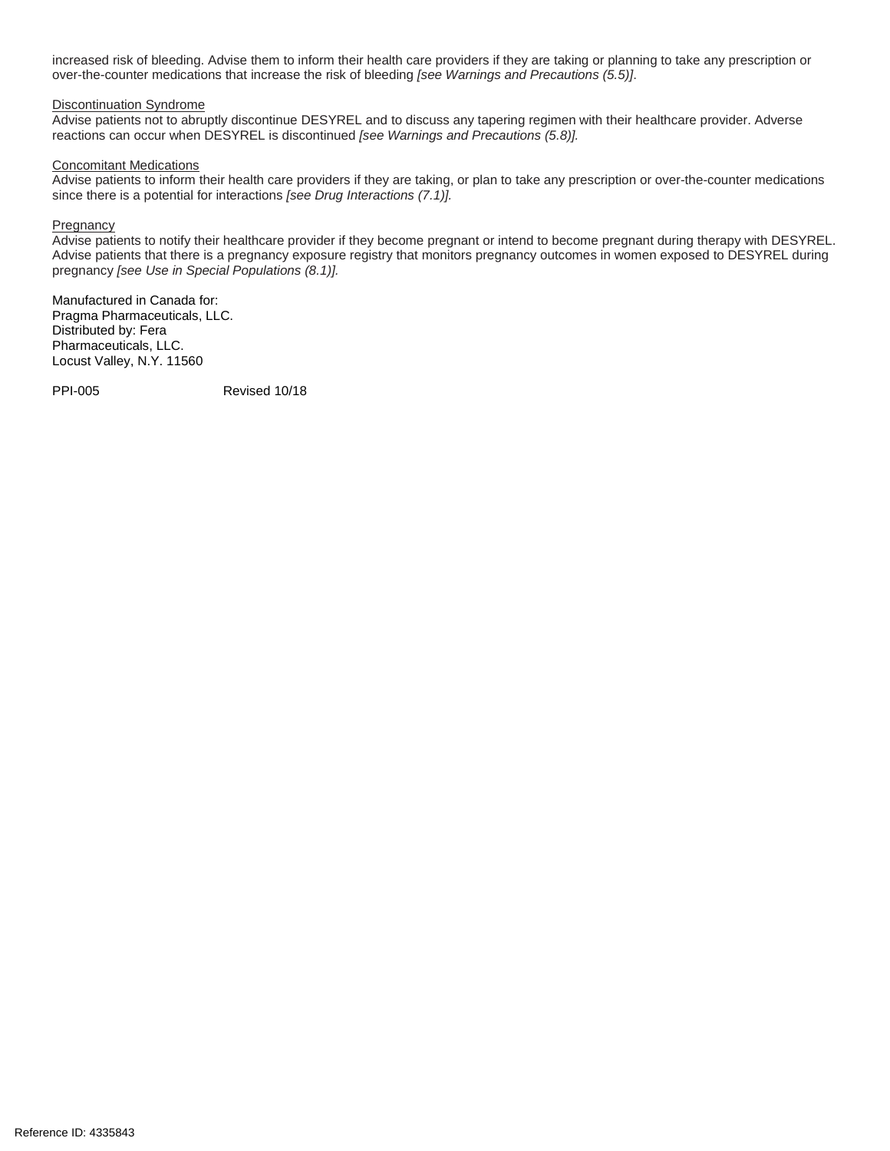increased risk of bleeding. Advise them to inform their health care providers if they are taking or planning to take any prescription or over-the-counter medications that increase the risk of bleeding *[see Warnings and Precautions (5.5)]*.

#### Discontinuation Syndrome

Advise patients not to abruptly discontinue DESYREL and to discuss any tapering regimen with their healthcare provider. Adverse reactions can occur when DESYREL is discontinued *[see Warnings and Precautions (5.8)].*

#### Concomitant Medications

Advise patients to inform their health care providers if they are taking, or plan to take any prescription or over-the-counter medications since there is a potential for interactions *[see Drug Interactions (7.1)].*

#### Pregnancy

Advise patients to notify their healthcare provider if they become pregnant or intend to become pregnant during therapy with DESYREL. Advise patients that there is a pregnancy exposure registry that monitors pregnancy outcomes in women exposed to DESYREL during pregnancy *[see Use in Special Populations (8.1)].*

Manufactured in Canada for: Pragma Pharmaceuticals, LLC. Distributed by: Fera Pharmaceuticals, LLC. Locust Valley, N.Y. 11560

PPI-005 Revised 10/18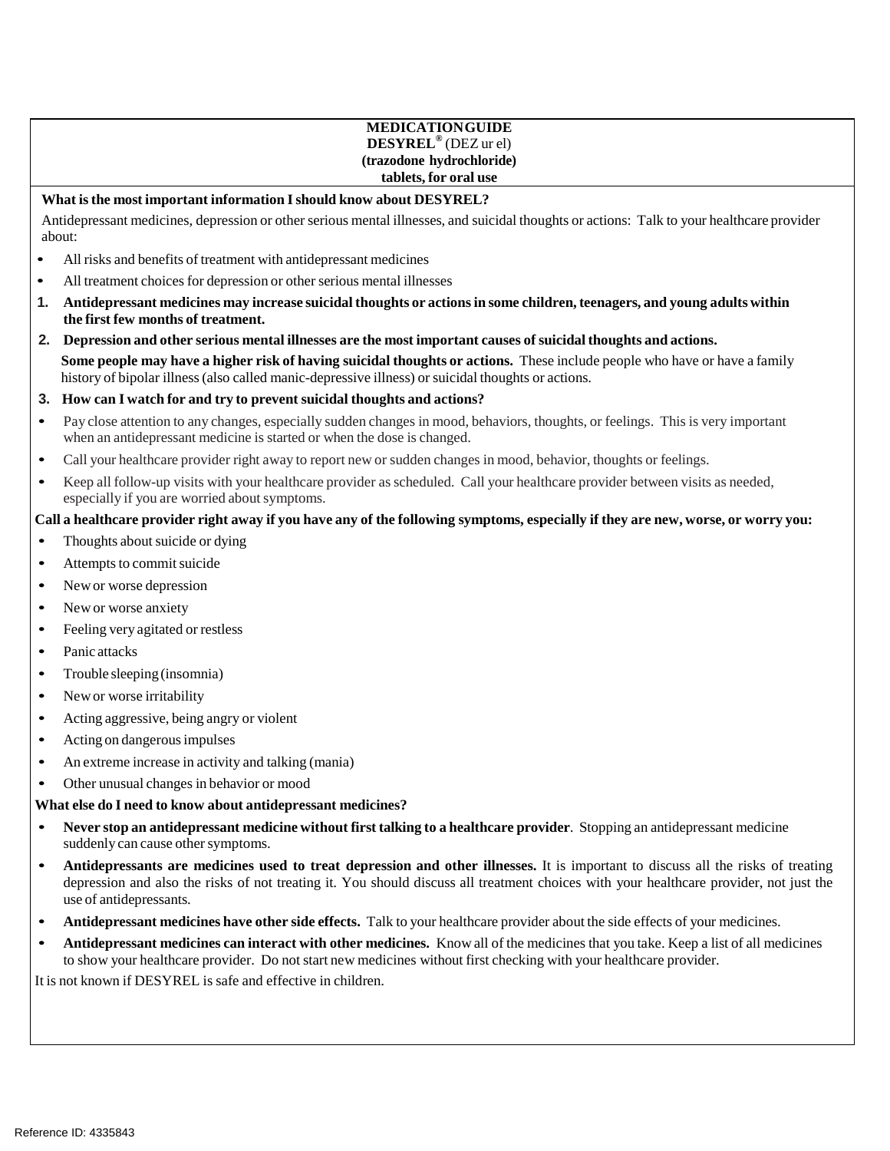### **MEDICATIONGUIDE DESYREL®** (DEZ ur el) **(trazodone hydrochloride) tablets, for oral use**

### **What isthe most important information Ishould know about DESYREL?**

Antidepressant medicines, depression or other serious mental illnesses, and suicidal thoughts or actions: Talk to your healthcare provider about:

- All risks and benefits of treatment with antidepressant medicines
- All treatment choices for depression or other serious mental illnesses
- 1. Antidepressant medicines may increase suicidal thoughts or actions in some children, teenagers, and young adults within **the first few months of treatment.**
- 2. Depression and other serious mental illnesses are the most important causes of suicidal thoughts and actions. **Some people may have a higher risk of having suicidal thoughts or actions.** These include people who have or have a family history of bipolar illness(also called manic-depressive illness) or suicidal thoughts or actions.

#### **3. How can I watch for and try to prevent suicidal thoughts and actions?**

- Pay close attention to any changes, especially sudden changes in mood, behaviors, thoughts, or feelings. This is very important when an antidepressant medicine is started or when the dose is changed.
- Call your healthcare provider right away to report new or sudden changes in mood, behavior, thoughts or feelings.
- Keep all follow-up visits with your healthcare provider as scheduled. Call your healthcare provider between visits as needed, especially if you are worried about symptoms.

### Call a healthcare provider right away if you have any of the following symptoms, especially if they are new, worse, or worry you:

- Thoughts about suicide or dying
- Attempts to commit suicide
- New or worse depression
- New or worse anxiety
- Feeling very agitated or restless
- Panic attacks
- Trouble sleeping (insomnia)
- New or worse irritability
- Acting aggressive, being angry or violent
- Acting on dangerous impulses
- An extreme increase in activity and talking (mania)
- Other unusual changes in behavior or mood

#### **What else do I need to know about antidepressant medicines?**

- **Never stop an antidepressant medicine without first talking to a healthcare provider**. Stopping an antidepressant medicine suddenly can cause other symptoms.
- **Antidepressants are medicines used to treat depression and other illnesses.** It is important to discuss all the risks of treating depression and also the risks of not treating it. You should discuss all treatment choices with your healthcare provider, not just the use of antidepressants.
- **Antidepressant medicines have other side effects.** Talk to your healthcare provider about the side effects of your medicines.
- **Antidepressant medicines can interact with other medicines.** Know all of the medicines that you take. Keep a list of all medicines to show your healthcare provider. Do notstart new medicines without first checking with your healthcare provider.

It is not known if DESYREL is safe and effective in children.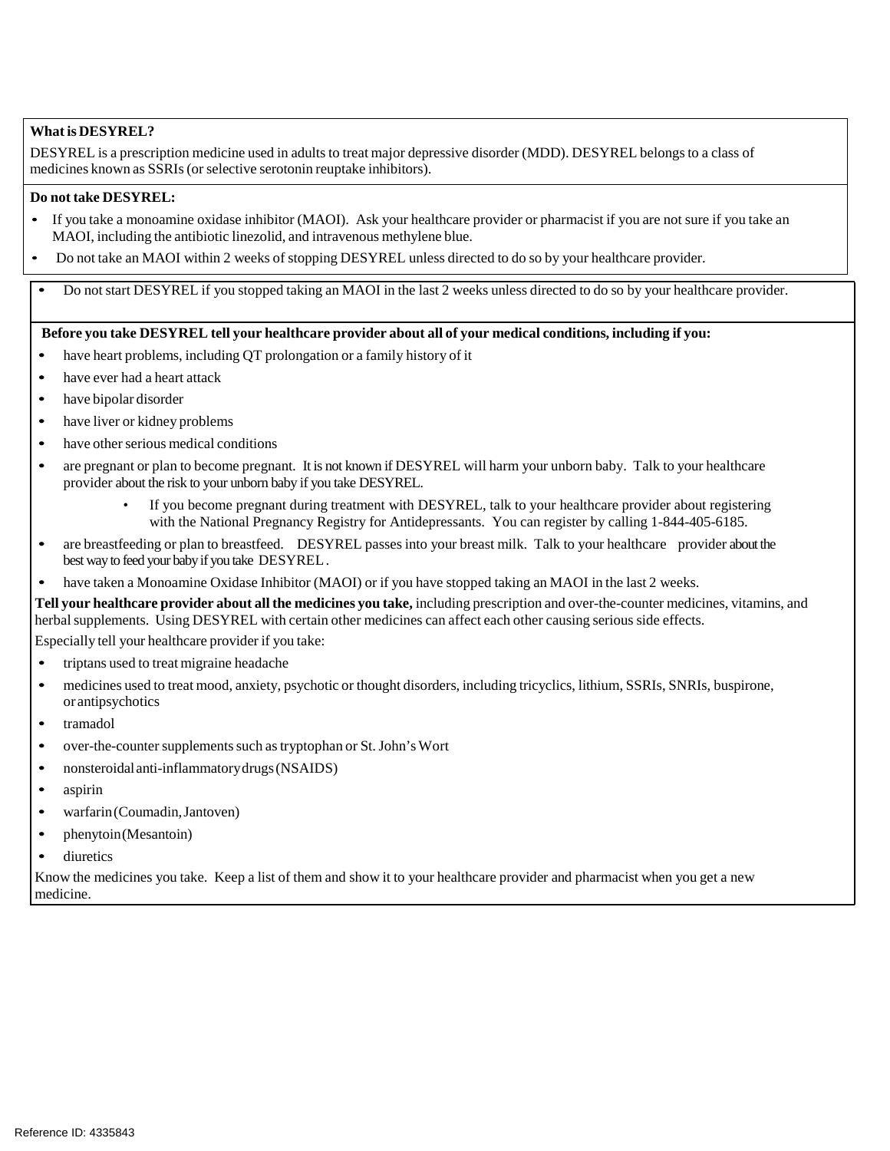### **Whatis DESYREL?**

DESYREL is a prescription medicine used in adults to treat major depressive disorder (MDD). DESYREL belongsto a class of medicines known as SSRIs (or selective serotonin reuptake inhibitors).

### **Do not take DESYREL:**

- If you take a monoamine oxidase inhibitor (MAOI). Ask your healthcare provider or pharmacist if you are not sure if you take an MAOI, including the antibiotic linezolid, and intravenous methylene blue.
- Do not take an MAOI within 2 weeks of stopping DESYREL unless directed to do so by your healthcare provider.

• Do not start DESYREL if you stopped taking an MAOI in the last 2 weeks unless directed to do so by your healthcare provider.

### Before you take DESYREL tell your healthcare provider about all of your medical conditions, including if you:

- have heart problems, including OT prolongation or a family history of it
- have ever had a heart attack
- have bipolar disorder
- have liver or kidney problems
- have other serious medical conditions
- are pregnant or plan to become pregnant. It is not known if DESYREL will harm your unborn baby. Talk to your healthcare provider about the risk to your unborn baby if you take DESYREL.
	- If you become pregnant during treatment with DESYREL, talk to your healthcare provider about registering with the National Pregnancy Registry for Antidepressants. You can register by calling 1-844-405-6185.
- are breastfeeding or plan to breastfeed. DESYREL passes into your breast milk. Talk to your healthcare provider about the best way to feed your baby if you take DESYREL.
- have taken a Monoamine Oxidase Inhibitor (MAOI) or if you have stopped taking an MAOI in the last 2 weeks.

**Tell your healthcare provider about all the medicines you take,** including prescription and over-the-counter medicines, vitamins, and herbal supplements. Using DESYREL with certain other medicines can affect each other causing serious side effects.

Especially tell your healthcare provider if you take:

- triptans used to treat migraine headache
- medicines used to treat mood, anxiety, psychotic or thought disorders, including tricyclics, lithium, SSRIs, SNRIs, buspirone, or antipsychotics
- tramadol
- over-the-counter supplements such as tryptophan or St. John's Wort
- nonsteroidalanti-inflammatorydrugs(NSAIDS)
- aspirin
- warfarin(Coumadin,Jantoven)
- phenytoin(Mesantoin)
- diuretics

Know the medicines you take. Keep a list of them and show it to your healthcare provider and pharmacist when you get a new medicine.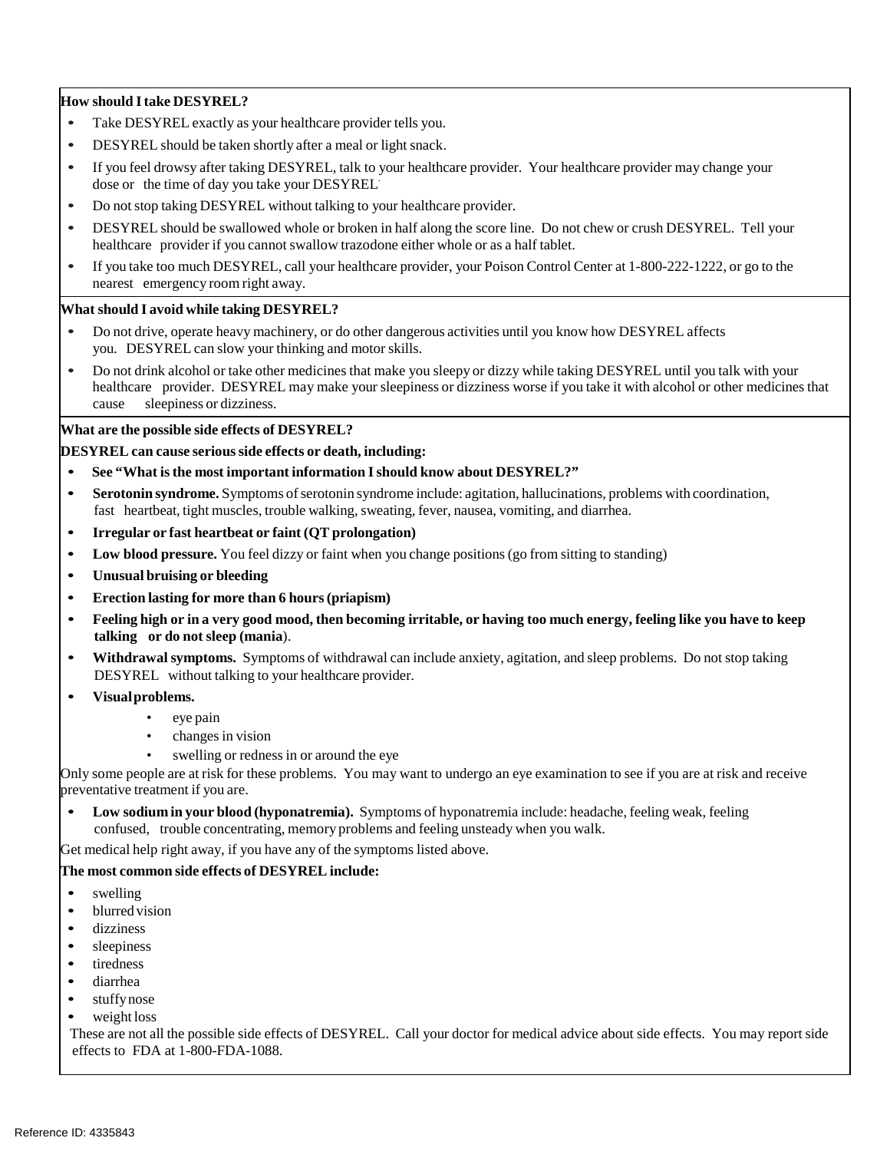### **How should Itake DESYREL?**

- Take DESYREL exactly as your healthcare provider tells you.
- DESYREL should be taken shortly after a meal or light snack.
- If you feel drowsy after taking DESYREL, talk to your healthcare provider. Your healthcare provider may change your dose or the time of day you take your DESYREL.
- Do not stop taking DESYREL without talking to your healthcare provider.
- DESYREL should be swallowed whole or broken in half along the score line. Do not chew or crush DESYREL. Tell your healthcare provider if you cannot swallow trazodone either whole or as a half tablet.
- If you take too much DESYREL, call your healthcare provider, your Poison Control Center at 1-800-222-1222, or go to the nearest emergency room right away.

#### **What should I avoid while taking DESYREL?**

- Do not drive, operate heavy machinery, or do other dangerous activities until you know how DESYREL affects you. DESYREL can slow your thinking and motor skills.
- Do not drink alcohol or take other medicines that make you sleepy or dizzy while taking DESYREL until you talk with your healthcare provider. DESYREL may make your sleepiness or dizziness worse if you take it with alcohol or other medicines that cause sleepiness or dizziness.

### **What are the possible side effects of DESYREL?**

#### **DESYREL can cause seriousside effects or death, including:**

- **See "What isthe most important information Ishould know about DESYREL?"**
- **Serotonin syndrome.** Symptoms of serotonin syndrome include: agitation, hallucinations, problems with coordination, fast heartbeat, tight muscles, trouble walking, sweating, fever, nausea, vomiting, and diarrhea.
- **Irregular or fast heartbeat or faint (QT prolongation)**
- **Low blood pressure.** You feel dizzy or faint when you change positions(go from sitting to standing)
- **Unusual bruising or bleeding**
- **Erection lasting for more than 6 hours(priapism)**
- Feeling high or in a very good mood, then becoming irritable, or having too much energy, feeling like you have to keep **talking or do not sleep (mania**).
- **Withdrawal symptoms.** Symptoms of withdrawal can include anxiety, agitation, and sleep problems. Do not stop taking DESYREL without talking to your healthcare provider.
- **Visualproblems.**
	- eye pain
	- changes in vision
	- swelling or redness in or around the eye

Only some people are at risk for these problems. You may want to undergo an eye examination to see if you are at risk and receive preventative treatment if you are.

• **Low sodium in your blood (hyponatremia).** Symptoms of hyponatremia include: headache, feeling weak, feeling confused, trouble concentrating, memory problems and feeling unsteady when you walk.

Get medical help right away, if you have any of the symptoms listed above.

#### **The most common side effects of DESYREL include:**

- swelling
- blurred vision
- dizziness
- sleepiness
- tiredness
- diarrhea
- stuffynose
- weight loss

 These are not all the possible side effects of DESYREL. Call your doctor for medical advice about side effects. You may report side effects to FDA at 1-800-FDA-1088.